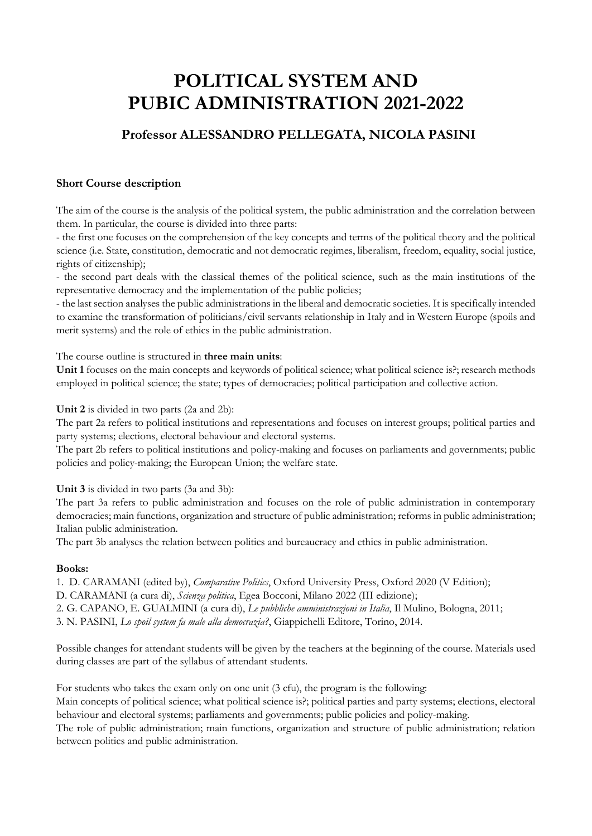# **POLITICAL SYSTEM AND PUBIC ADMINISTRATION 2021-2022**

# **Professor ALESSANDRO PELLEGATA, NICOLA PASINI**

# **Short Course description**

The aim of the course is the analysis of the political system, the public administration and the correlation between them. In particular, the course is divided into three parts:

- the first one focuses on the comprehension of the key concepts and terms of the political theory and the political science (i.e. State, constitution, democratic and not democratic regimes, liberalism, freedom, equality, social justice, rights of citizenship);

- the second part deals with the classical themes of the political science, such as the main institutions of the representative democracy and the implementation of the public policies;

- the last section analyses the public administrations in the liberal and democratic societies. It is specifically intended to examine the transformation of politicians/civil servants relationship in Italy and in Western Europe (spoils and merit systems) and the role of ethics in the public administration.

#### The course outline is structured in **three main units**:

**Unit 1** focuses on the main concepts and keywords of political science; what political science is?; research methods employed in political science; the state; types of democracies; political participation and collective action.

**Unit 2** is divided in two parts (2a and 2b):

The part 2a refers to political institutions and representations and focuses on interest groups; political parties and party systems; elections, electoral behaviour and electoral systems.

The part 2b refers to political institutions and policy-making and focuses on parliaments and governments; public policies and policy-making; the European Union; the welfare state.

**Unit 3** is divided in two parts (3a and 3b):

The part 3a refers to public administration and focuses on the role of public administration in contemporary democracies; main functions, organization and structure of public administration; reforms in public administration; Italian public administration.

The part 3b analyses the relation between politics and bureaucracy and ethics in public administration.

#### **Books:**

1. D. CARAMANI (edited by), *Comparative Politics*, Oxford University Press, Oxford 2020 (V Edition);

D. CARAMANI (a cura di), *Scienza politica*, Egea Bocconi, Milano 2022 (III edizione);

2. G. CAPANO, E. GUALMINI (a cura di), *Le pubbliche amministrazioni in Italia*, Il Mulino, Bologna, 2011;

3. N. PASINI, *Lo spoil system fa male alla democrazia?*, Giappichelli Editore, Torino, 2014.

Possible changes for attendant students will be given by the teachers at the beginning of the course. Materials used during classes are part of the syllabus of attendant students.

For students who takes the exam only on one unit (3 cfu), the program is the following:

Main concepts of political science; what political science is?; political parties and party systems; elections, electoral behaviour and electoral systems; parliaments and governments; public policies and policy-making.

The role of public administration; main functions, organization and structure of public administration; relation between politics and public administration.